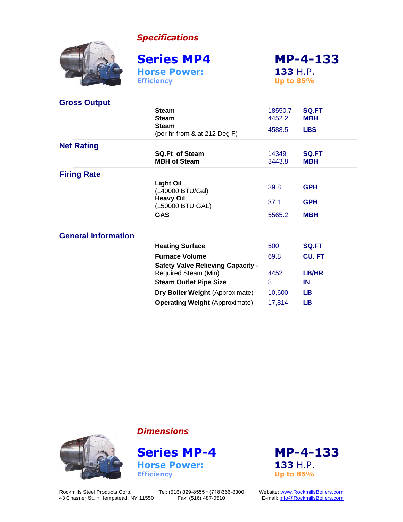*Specifications*



**Gross Output**

**Horse Power: 133** H.P. **Efficiency Up to 85%**

**Series MP4 MP-4-133**

| Gross Output               |                                                                   |                   |                            |
|----------------------------|-------------------------------------------------------------------|-------------------|----------------------------|
|                            | <b>Steam</b><br><b>Steam</b><br><b>Steam</b>                      | 18550.7<br>4452.2 | SQ.FT<br><b>MBH</b>        |
|                            | (per hr from & at 212 Deg F)                                      | 4588.5            | <b>LBS</b>                 |
| <b>Net Rating</b>          |                                                                   |                   |                            |
|                            | <b>SQ.Ft of Steam</b><br><b>MBH of Steam</b>                      | 14349<br>3443.8   | <b>SQ.FT</b><br><b>MBH</b> |
| <b>Firing Rate</b>         |                                                                   |                   |                            |
|                            | <b>Light Oil</b><br>(140000 BTU/Gal)                              | 39.8              | <b>GPH</b>                 |
|                            | <b>Heavy Oil</b><br>(150000 BTU GAL)                              | 37.1              | <b>GPH</b>                 |
|                            | <b>GAS</b>                                                        | 5565.2            | <b>MBH</b>                 |
| <b>General Information</b> |                                                                   |                   |                            |
|                            | <b>Heating Surface</b>                                            | 500               | <b>SQ.FT</b>               |
|                            | <b>Furnace Volume</b><br><b>Safety Valve Relieving Capacity -</b> | 69.8              | <b>CU.FT</b>               |
|                            | Required Steam (Min)                                              | 4452              | LB/HR                      |
|                            | <b>Steam Outlet Pipe Size</b>                                     | 8                 | IN                         |
|                            | <b>Dry Boiler Weight (Approximate)</b>                            | 10,600            | <b>LB</b>                  |
|                            | <b>Operating Weight (Approximate)</b>                             | 17,814            | <b>LB</b>                  |

*Dimensions*